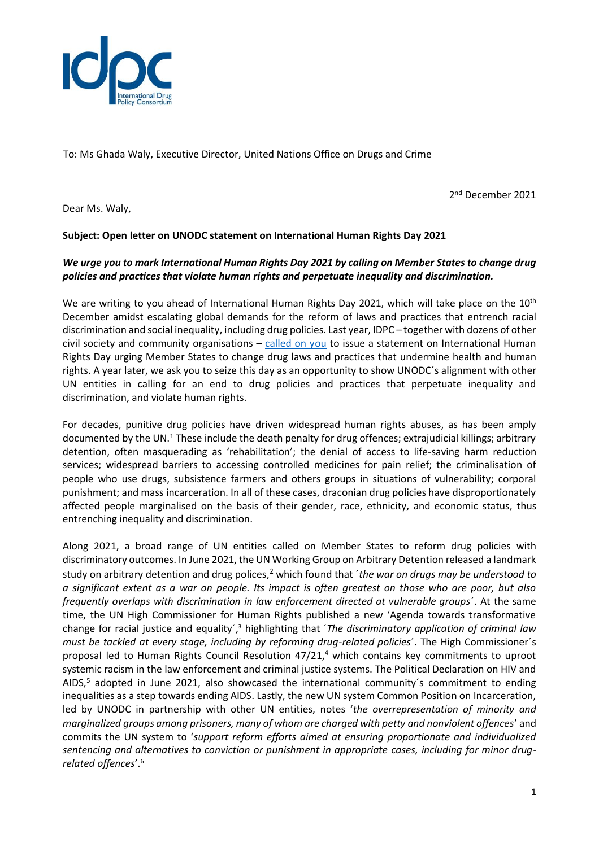

To: Ms Ghada Waly, Executive Director, United Nations Office on Drugs and Crime

2 nd December 2021

Dear Ms. Waly,

## **Subject: Open letter on UNODC statement on International Human Rights Day 2021**

## *We urge you to mark International Human Rights Day 2021 by calling on Member States to change drug policies and practices that violate human rights and perpetuate inequality and discrimination.*

We are writing to you ahead of International Human Rights Day 2021, which will take place on the 10<sup>th</sup> December amidst escalating global demands for the reform of laws and practices that entrench racial discrimination and social inequality, including drug policies. Last year, IDPC – together with dozens of other civil society and community organisations  $-$  [called on you](https://idpc.net/alerts/2020/12/100-NGOs-sign-open-letter-to-Ms-Ghada-Waly-calling-for-strong-UNODC-statement-on-International-Human-Rights-Day) to issue a statement on International Human Rights Day urging Member States to change drug laws and practices that undermine health and human rights. A year later, we ask you to seize this day as an opportunity to show UNODC´s alignment with other UN entities in calling for an end to drug policies and practices that perpetuate inequality and discrimination, and violate human rights.

For decades, punitive drug policies have driven widespread human rights abuses, as has been amply documented by the UN.<sup>1</sup> These include the death penalty for drug offences; extrajudicial killings; arbitrary detention, often masquerading as 'rehabilitation'; the denial of access to life-saving harm reduction services; widespread barriers to accessing controlled medicines for pain relief; the criminalisation of people who use drugs, subsistence farmers and others groups in situations of vulnerability; corporal punishment; and mass incarceration. In all of these cases, draconian drug policies have disproportionately affected people marginalised on the basis of their gender, race, ethnicity, and economic status, thus entrenching inequality and discrimination.

Along 2021, a broad range of UN entities called on Member States to reform drug policies with discriminatory outcomes. In June 2021, the UN Working Group on Arbitrary Detention released a landmark study on arbitrary detention and drug polices, <sup>2</sup> which found that ´*the war on drugs may be understood to a significant extent as a war on people. Its impact is often greatest on those who are poor, but also frequently overlaps with discrimination in law enforcement directed at vulnerable groups*´. At the same time, the UN High Commissioner for Human Rights published a new 'Agenda towards transformative change for racial justice and equality<sup>'</sup>,<sup>3</sup> highlighting that '*The discriminatory application of criminal law must be tackled at every stage, including by reforming drug-related policies*´. The High Commissioner´s proposal led to Human Rights Council Resolution 47/21, <sup>4</sup> which contains key commitments to uproot systemic racism in the law enforcement and criminal justice systems. The Political Declaration on HIV and AIDS,<sup>5</sup> adopted in June 2021, also showcased the international community's commitment to ending inequalities as a step towards ending AIDS. Lastly, the new UN system Common Position on Incarceration, led by UNODC in partnership with other UN entities, notes '*the overrepresentation of minority and marginalized groups among prisoners, many of whom are charged with petty and nonviolent offences*' and commits the UN system to '*support reform efforts aimed at ensuring proportionate and individualized sentencing and alternatives to conviction or punishment in appropriate cases, including for minor drugrelated offences*'.6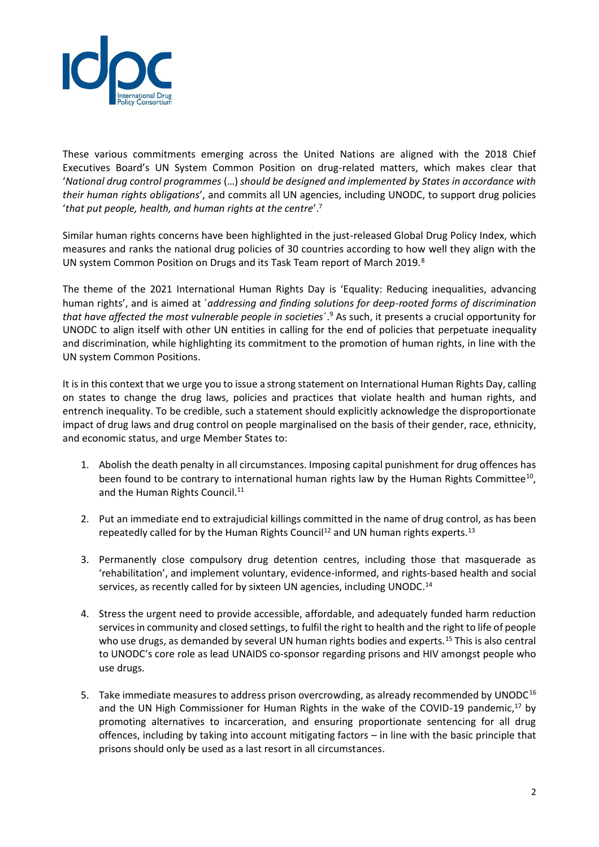

These various commitments emerging across the United Nations are aligned with the 2018 Chief Executives Board's UN System Common Position on drug-related matters, which makes clear that '*National drug control programmes* (…) *should be designed and implemented by States in accordance with their human rights obligations*', and commits all UN agencies, including UNODC, to support drug policies '*that put people, health, and human rights at the centre*'.<sup>7</sup>

Similar human rights concerns have been highlighted in the just-released Global Drug Policy Index, which measures and ranks the national drug policies of 30 countries according to how well they align with the UN system Common Position on Drugs and its Task Team report of March 2019.<sup>8</sup>

The theme of the 2021 International Human Rights Day is 'Equality: Reducing inequalities, advancing human rights', and is aimed at ´*addressing and finding solutions for deep-rooted forms of discrimination that have affected the most vulnerable people in societies*´.<sup>9</sup> As such, it presents a crucial opportunity for UNODC to align itself with other UN entities in calling for the end of policies that perpetuate inequality and discrimination, while highlighting its commitment to the promotion of human rights, in line with the UN system Common Positions.

It is in this context that we urge you to issue a strong statement on International Human Rights Day, calling on states to change the drug laws, policies and practices that violate health and human rights, and entrench inequality. To be credible, such a statement should explicitly acknowledge the disproportionate impact of drug laws and drug control on people marginalised on the basis of their gender, race, ethnicity, and economic status, and urge Member States to:

- 1. Abolish the death penalty in all circumstances. Imposing capital punishment for drug offences has been found to be contrary to international human rights law by the Human Rights Committee<sup>10</sup>, and the Human Rights Council.<sup>11</sup>
- 2. Put an immediate end to extrajudicial killings committed in the name of drug control, as has been repeatedly called for by the Human Rights Council<sup>12</sup> and UN human rights experts.<sup>13</sup>
- 3. Permanently close compulsory drug detention centres, including those that masquerade as 'rehabilitation', and implement voluntary, evidence-informed, and rights-based health and social services, as recently called for by sixteen UN agencies, including UNODC.<sup>14</sup>
- 4. Stress the urgent need to provide accessible, affordable, and adequately funded harm reduction servicesin community and closed settings, to fulfil the right to health and the right to life of people who use drugs, as demanded by several UN human rights bodies and experts.<sup>15</sup> This is also central to UNODC's core role as lead UNAIDS co-sponsor regarding prisons and HIV amongst people who use drugs.
- 5. Take immediate measures to address prison overcrowding, as already recommended by UNODC<sup>16</sup> and the UN High Commissioner for Human Rights in the wake of the COVID-19 pandemic, $17$  by promoting alternatives to incarceration, and ensuring proportionate sentencing for all drug offences, including by taking into account mitigating factors – in line with the basic principle that prisons should only be used as a last resort in all circumstances.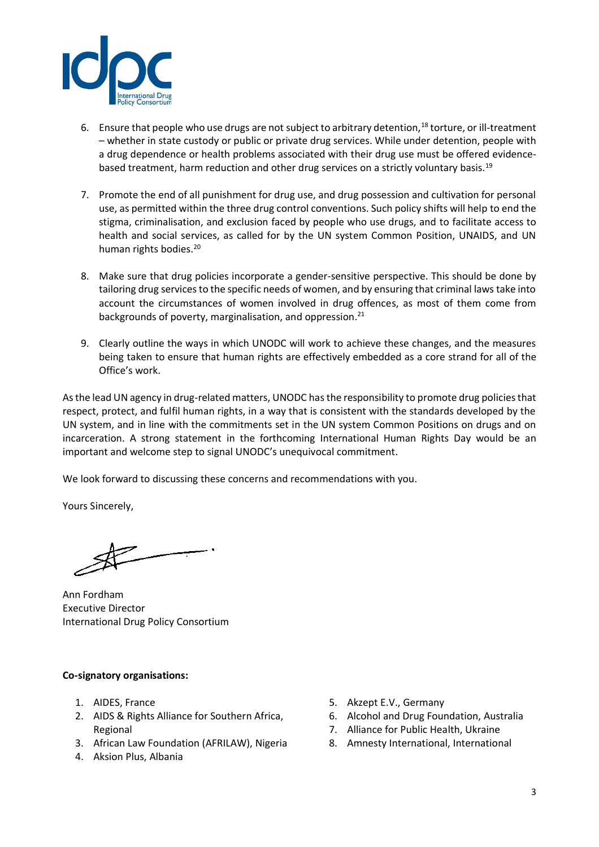

- 6. Ensure that people who use drugs are not subject to arbitrary detention,<sup>18</sup> torture, or ill-treatment – whether in state custody or public or private drug services. While under detention, people with a drug dependence or health problems associated with their drug use must be offered evidencebased treatment, harm reduction and other drug services on a strictly voluntary basis.<sup>19</sup>
- 7. Promote the end of all punishment for drug use, and drug possession and cultivation for personal use, as permitted within the three drug control conventions. Such policy shifts will help to end the stigma, criminalisation, and exclusion faced by people who use drugs, and to facilitate access to health and social services, as called for by the UN system Common Position, UNAIDS, and UN human rights bodies. 20
- 8. Make sure that drug policies incorporate a gender-sensitive perspective. This should be done by tailoring drug services to the specific needs of women, and by ensuring that criminal laws take into account the circumstances of women involved in drug offences, as most of them come from backgrounds of poverty, marginalisation, and oppression.<sup>21</sup>
- 9. Clearly outline the ways in which UNODC will work to achieve these changes, and the measures being taken to ensure that human rights are effectively embedded as a core strand for all of the Office's work.

As the lead UN agency in drug-related matters, UNODC has the responsibility to promote drug policies that respect, protect, and fulfil human rights, in a way that is consistent with the standards developed by the UN system, and in line with the commitments set in the UN system Common Positions on drugs and on incarceration. A strong statement in the forthcoming International Human Rights Day would be an important and welcome step to signal UNODC's unequivocal commitment.

We look forward to discussing these concerns and recommendations with you.

Yours Sincerely,

Ann Fordham Executive Director International Drug Policy Consortium

## **Co-signatory organisations:**

- 1. AIDES, France
- 2. AIDS & Rights Alliance for Southern Africa, Regional
- 3. African Law Foundation (AFRILAW), Nigeria
- 4. Aksion Plus, Albania
- 5. Akzept E.V., Germany
- 6. Alcohol and Drug Foundation, Australia
- 7. Alliance for Public Health, Ukraine
- 8. Amnesty International, International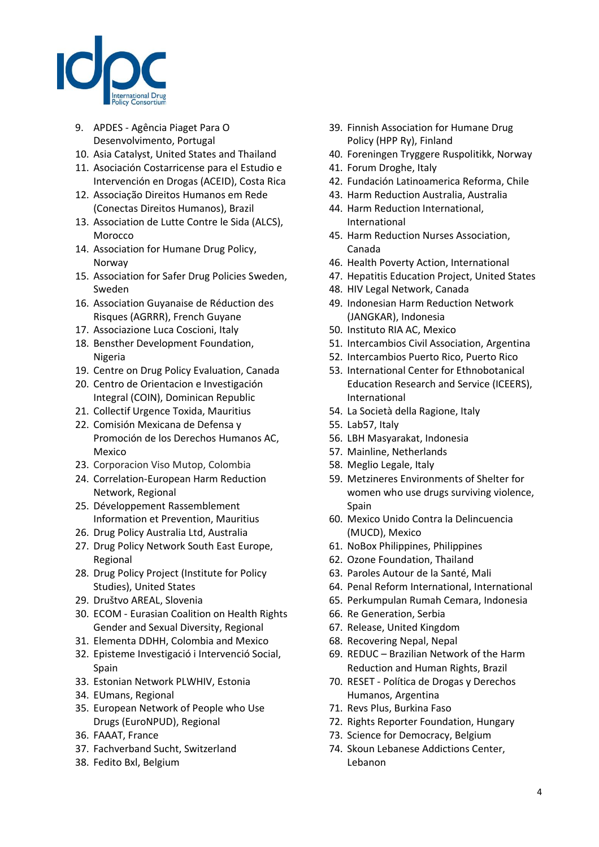

- 9. APDES Agência Piaget Para O Desenvolvimento, Portugal
- 10. Asia Catalyst, United States and Thailand
- 11. Asociación Costarricense para el Estudio e Intervención en Drogas (ACEID), Costa Rica
- 12. Associação Direitos Humanos em Rede (Conectas Direitos Humanos), Brazil
- 13. Association de Lutte Contre le Sida (ALCS), Morocco
- 14. Association for Humane Drug Policy, Norway
- 15. Association for Safer Drug Policies Sweden, Sweden
- 16. Association Guyanaise de Réduction des Risques (AGRRR), French Guyane
- 17. Associazione Luca Coscioni, Italy
- 18. Bensther Development Foundation, Nigeria
- 19. Centre on Drug Policy Evaluation, Canada
- 20. Centro de Orientacion e Investigación Integral (COIN), Dominican Republic
- 21. Collectif Urgence Toxida, Mauritius
- 22. Comisión Mexicana de Defensa y Promoción de los Derechos Humanos AC, Mexico
- 23. Corporacion Viso Mutop, Colombia
- 24. Correlation-European Harm Reduction Network, Regional
- 25. Développement Rassemblement Information et Prevention, Mauritius
- 26. Drug Policy Australia Ltd, Australia
- 27. Drug Policy Network South East Europe, Regional
- 28. Drug Policy Project (Institute for Policy Studies), United States
- 29. Društvo AREAL, Slovenia
- 30. ECOM Eurasian Coalition on Health Rights Gender and Sexual Diversity, Regional
- 31. Elementa DDHH, Colombia and Mexico
- 32. Episteme Investigació i Intervenció Social, Spain
- 33. Estonian Network PLWHIV, Estonia
- 34. EUmans, Regional
- 35. European Network of People who Use Drugs (EuroNPUD), Regional
- 36. FAAAT, France
- 37. Fachverband Sucht, Switzerland
- 38. Fedito Bxl, Belgium
- 39. Finnish Association for Humane Drug Policy (HPP Ry), Finland
- 40. Foreningen Tryggere Ruspolitikk, Norway
- 41. Forum Droghe, Italy
- 42. Fundación Latinoamerica Reforma, Chile
- 43. Harm Reduction Australia, Australia
- 44. Harm Reduction International, International
- 45. Harm Reduction Nurses Association, Canada
- 46. Health Poverty Action, International
- 47. Hepatitis Education Project, United States
- 48. HIV Legal Network, Canada
- 49. Indonesian Harm Reduction Network (JANGKAR), Indonesia
- 50. Instituto RIA AC, Mexico
- 51. Intercambios Civil Association, Argentina
- 52. Intercambios Puerto Rico, Puerto Rico
- 53. International Center for Ethnobotanical Education Research and Service (ICEERS), International
- 54. La Società della Ragione, Italy
- 55. Lab57, Italy
- 56. LBH Masyarakat, Indonesia
- 57. Mainline, Netherlands
- 58. Meglio Legale, Italy
- 59. Metzineres Environments of Shelter for women who use drugs surviving violence, Spain
- 60. Mexico Unido Contra la Delincuencia (MUCD), Mexico
- 61. NoBox Philippines, Philippines
- 62. Ozone Foundation, Thailand
- 63. Paroles Autour de la Santé, Mali
- 64. Penal Reform International, International
- 65. Perkumpulan Rumah Cemara, Indonesia
- 66. Re Generation, Serbia
- 67. Release, United Kingdom
- 68. Recovering Nepal, Nepal
- 69. REDUC Brazilian Network of the Harm Reduction and Human Rights, Brazil
- 70. RESET Política de Drogas y Derechos Humanos, Argentina
- 71. Revs Plus, Burkina Faso
- 72. Rights Reporter Foundation, Hungary
- 73. Science for Democracy, Belgium
- 74. Skoun Lebanese Addictions Center, Lebanon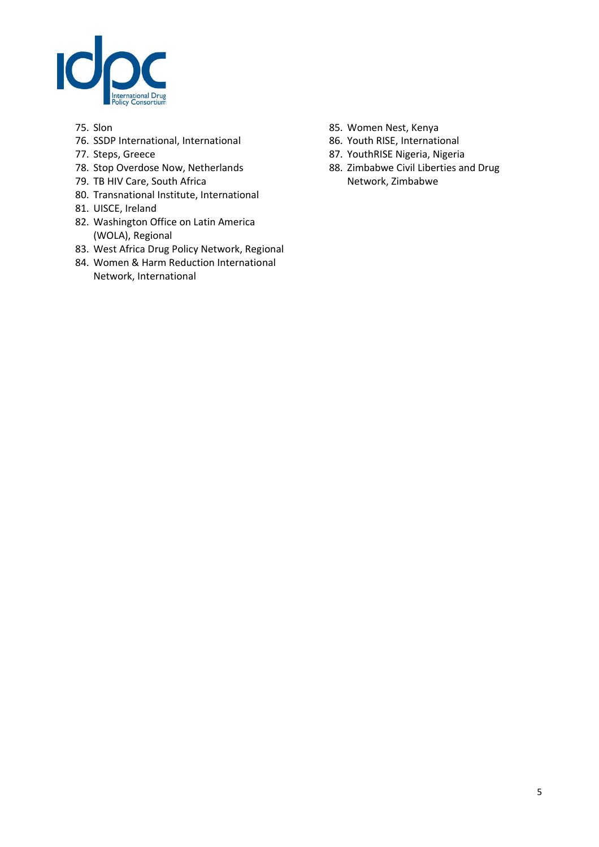

- 75. Slon
- 76. SSDP International, International
- 77. Steps, Greece
- 78. Stop Overdose Now, Netherlands
- 79. TB HIV Care, South Africa
- 80. Transnational Institute, International
- 81. UISCE, Ireland
- 82. Washington Office on Latin America (WOLA), Regional
- 83. West Africa Drug Policy Network, Regional
- 84. Women & Harm Reduction International Network, International
- 85. Women Nest, Kenya
- 86. Youth RISE, International
- 87. YouthRISE Nigeria, Nigeria
- 88. Zimbabwe Civil Liberties and Drug Network, Zimbabwe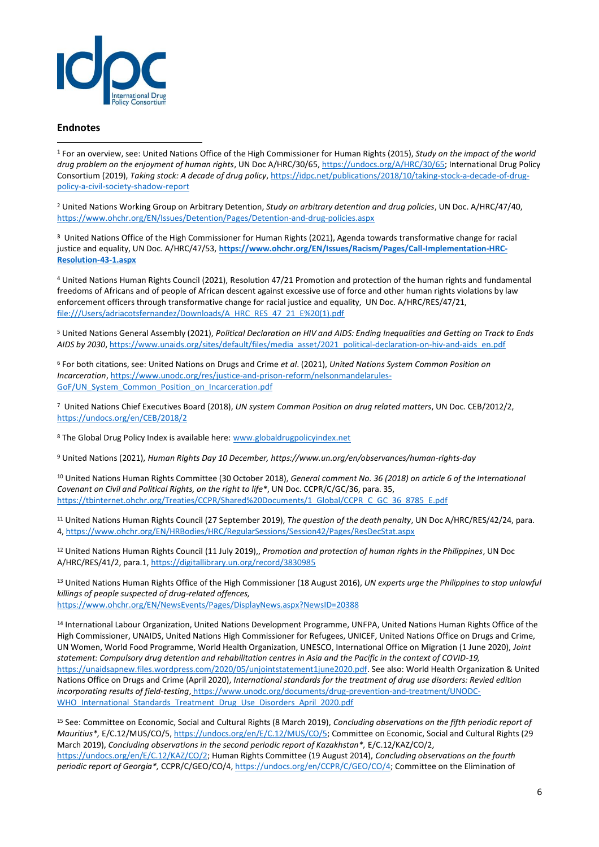

## **Endnotes**

<sup>1</sup> For an overview, see: United Nations Office of the High Commissioner for Human Rights (2015), *Study on the impact of the world drug problem on the enjoyment of human rights*, UN Doc A/HRC/30/65[, https://undocs.org/A/HRC/30/65;](https://undocs.org/A/HRC/30/65) International Drug Policy Consortium (2019), *Taking stock: A decade of drug policy*[, https://idpc.net/publications/2018/10/taking-stock-a-decade-of-drug](https://idpc.net/publications/2018/10/taking-stock-a-decade-of-drug-policy-a-civil-society-shadow-report)[policy-a-civil-society-shadow-report](https://idpc.net/publications/2018/10/taking-stock-a-decade-of-drug-policy-a-civil-society-shadow-report) 

<sup>2</sup> United Nations Working Group on Arbitrary Detention, *Study on arbitrary detention and drug policies*, UN Doc. A/HRC/47/40, <https://www.ohchr.org/EN/Issues/Detention/Pages/Detention-and-drug-policies.aspx>

**<sup>3</sup>** United Nations Office of the High Commissioner for Human Rights (2021), Agenda towards transformative change for racial justice and equality, UN Doc. A/HRC/47/53, https://www.ohchr.org/EN/Issues/Racism/Pages/Call-Implementation-HRC-**Resolution-43-1.aspx**

<sup>4</sup> United Nations Human Rights Council (2021), Resolution 47/21 Promotion and protection of the human rights and fundamental freedoms of Africans and of people of African descent against excessive use of force and other human rights violations by law enforcement officers through transformative change for racial justice and equality, UN Doc. A/HRC/RES/47/21, [file:///Users/adriacotsfernandez/Downloads/A\\_HRC\\_RES\\_47\\_21\\_E%20\(1\).pdf](file:///C:/Users/adriacotsfernandez/Downloads/A_HRC_RES_47_21_E%20(1).pdf)

<sup>5</sup> United Nations General Assembly (2021), *Political Declaration on HIV and AIDS: Ending Inequalities and Getting on Track to Ends AIDS by 2030*, [https://www.unaids.org/sites/default/files/media\\_asset/2021\\_political-declaration-on-hiv-and-aids\\_en.pdf](https://www.unaids.org/sites/default/files/media_asset/2021_political-declaration-on-hiv-and-aids_en.pdf)

<sup>6</sup> For both citations, see: United Nations on Drugs and Crime *et al*. (2021), *United Nations System Common Position on Incarceration*[, https://www.unodc.org/res/justice-and-prison-reform/nelsonmandelarules-](https://www.unodc.org/res/justice-and-prison-reform/nelsonmandelarules-GoF/UN_System_Common_Position_on_Incarceration.pdf)[GoF/UN\\_System\\_Common\\_Position\\_on\\_Incarceration.pdf](https://www.unodc.org/res/justice-and-prison-reform/nelsonmandelarules-GoF/UN_System_Common_Position_on_Incarceration.pdf)

<sup>7</sup> United Nations Chief Executives Board (2018), *UN system Common Position on drug related matters*, UN Doc. CEB/2012/2, <https://undocs.org/en/CEB/2018/2>

<sup>8</sup> The Global Drug Policy Index is available here[: www.globaldrugpolicyindex.net](http://www.globaldrugpolicyindex.net/)

<sup>9</sup> United Nations (2021), *Human Rights Day 10 December, https://www.un.org/en/observances/human-rights-day*

<sup>10</sup> United Nations Human Rights Committee (30 October 2018), *General comment No. 36 (2018) on article 6 of the International Covenant on Civil and Political Rights, on the right to life\**, UN Doc. CCPR/C/GC/36, para. 35, [https://tbinternet.ohchr.org/Treaties/CCPR/Shared%20Documents/1\\_Global/CCPR\\_C\\_GC\\_36\\_8785\\_E.pdf](https://tbinternet.ohchr.org/Treaties/CCPR/Shared%20Documents/1_Global/CCPR_C_GC_36_8785_E.pdf)

<sup>11</sup> United Nations Human Rights Council (27 September 2019), *The question of the death penalty*, UN Doc A/HRC/RES/42/24, para. 4[, https://www.ohchr.org/EN/HRBodies/HRC/RegularSessions/Session42/Pages/ResDecStat.aspx](https://www.ohchr.org/EN/HRBodies/HRC/RegularSessions/Session42/Pages/ResDecStat.aspx)

<sup>12</sup> United Nations Human Rights Council (11 July 2019),, *Promotion and protection of human rights in the Philippines*, UN Doc A/HRC/RES/41/2, para.1,<https://digitallibrary.un.org/record/3830985>

<sup>13</sup> United Nations Human Rights Office of the High Commissioner (18 August 2016), *UN experts urge the Philippines to stop unlawful killings of people suspected of drug-related offences,* <https://www.ohchr.org/EN/NewsEvents/Pages/DisplayNews.aspx?NewsID=20388>

<sup>14</sup> International Labour Organization, United Nations Development Programme, UNFPA, United Nations Human Rights Office of the High Commissioner, UNAIDS, United Nations High Commissioner for Refugees, UNICEF, United Nations Office on Drugs and Crime, UN Women, World Food Programme, World Health Organization, UNESCO, International Office on Migration (1 June 2020), *Joint statement: Compulsory drug detention and rehabilitation centres in Asia and the Pacific in the context of COVID-19,*  [https://unaidsapnew.files.wordpress.com/2020/05/unjointstatement1june2020.pdf.](https://unaidsapnew.files.wordpress.com/2020/05/unjointstatement1june2020.pdf) See also: World Health Organization & United Nations Office on Drugs and Crime (April 2020), *International standards for the treatment of drug use disorders: Revied edition incorporating results of field-testing*, [https://www.unodc.org/documents/drug-prevention-and-treatment/UNODC-](https://www.unodc.org/documents/drug-prevention-and-treatment/UNODC-WHO_International_Standards_Treatment_Drug_Use_Disorders_April_2020.pdf)WHO International Standards Treatment Drug Use Disorders April 2020.pdf

<sup>15</sup> See: Committee on Economic, Social and Cultural Rights (8 March 2019), *Concluding observations on the fifth periodic report of Mauritius\*,* E/C.12/MUS/CO/5[, https://undocs.org/en/E/C.12/MUS/CO/5;](https://undocs.org/en/E/C.12/MUS/CO/5) Committee on Economic, Social and Cultural Rights (29 March 2019), *Concluding observations in the second periodic report of Kazakhstan\*,* E/C.12/KAZ/CO/2, [https://undocs.org/en/E/C.12/KAZ/CO/2;](https://undocs.org/en/E/C.12/KAZ/CO/2) Human Rights Committee (19 August 2014), *Concluding observations on the fourth periodic report of Georgia\*,* CCPR/C/GEO/CO/4[, https://undocs.org/en/CCPR/C/GEO/CO/4;](https://undocs.org/en/CCPR/C/GEO/CO/4) Committee on the Elimination of